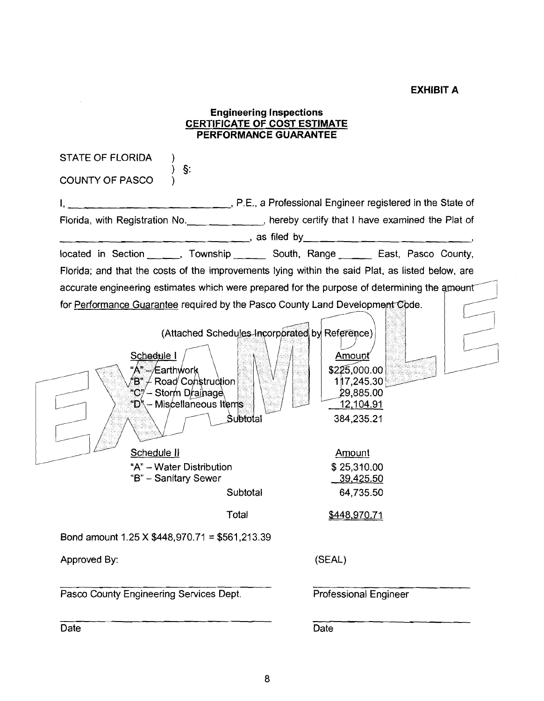#### **EXHIBIT A**

#### **CERTIFICATE OF COST ESTIMATE PERFORMANCE GUARANTEE**  STATE OF FLORIDA ) **5:**  COUNTY OF PASCO ) **1,** , P.E., a Professional Engineer registered in the State of Florida, with Registration No. \_\_\_ \_\_\_ \_\_ \_\_\_, hereby certify that I have examined the Plat of \_\_ \_\_ \_ \_ , as filed by\_ \_\_\_\_\_ \_\_\_ \_\_ \_ \_ \_ \_ \_ \_ \_ , located in Section . Township \_ South, Range \_ East, Pasco County, Florida; and that the costs of the improvements lying within the said Plat, as listed below, are accurate engineering estimates which were prepared for the purpose of determining the amount for Performance Guarantee required by the Pasco County Land Development Code. (Attached Schedules-Incorporated by Reference) Schedule I Amount "Á"*≔⁄*Earthẃork \$225,000.00  $\mathbf{B}^*\!\!\not=\! \mathsf{Road}'\mathsf{Coh}$ stru $\mathrm{d}$ tion 117,245.30 "C"⁄ – Storm Drainage 29.885.00 "D" – Miscellaneous Items 12,104.91 Subtotal 384,235.21 Schedule II Amount "A" - Water Distribution \$ 25,310.00 "B" - Sanitary Sewer 39,425.50 **Subtotal** 64,735.50 Total \$448,970.71 Bond amount 1.25 X \$448,970.71 = \$561,213.39 Approved By: (SEAL) Pasco County Engineering Services Dept. Professional Engineer

**Engineering Inspections** 

Date **Date Date Date Date Date**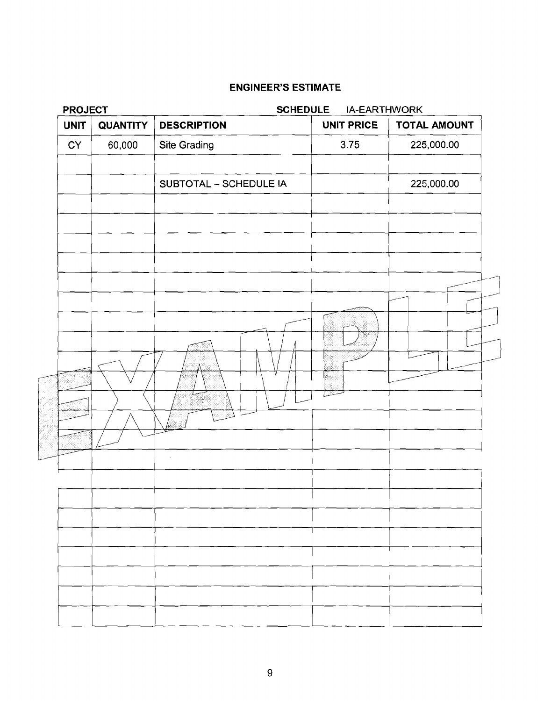# ENGINEER'S ESTIMATE<br>
ENGINEER'S ESTIMATE<br>
UNIT QUANTITY DESCRIPTION<br>
CY 60,000 Site Grading<br>
SUBTOTAL - SCHEDULE IA<br>
THE CHECK COMPONERY SESTIMATE<br>
SUBTOTAL - SCHEDULE IA<br>
THE CHECK COMPONERY SESSION OF THE CHECK COMPONERY **PROJECT SCHEDULE** IA-EARTHWORK UNIT QUANTITY DESCRIPTION **UNIT PRICE TOTAL AMOUNT** Site Grading 225,000.00 **CY** 60,000 SUBTOTAL - SCHEDULE IA 225,000.00 ÿ 5 hein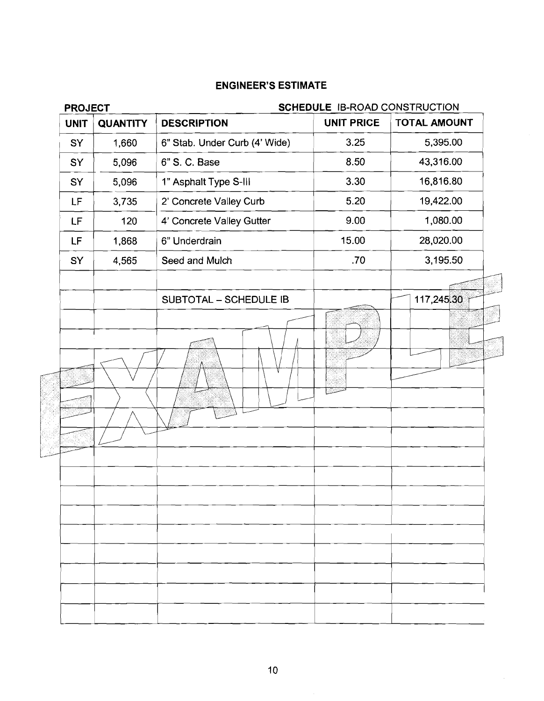| <b>PROJECT</b>                 |                               | SCHEDULE IB-ROAD CONSTRUCTION |                     |
|--------------------------------|-------------------------------|-------------------------------|---------------------|
| <b>UNIT</b><br><b>QUANTITY</b> | <b>DESCRIPTION</b>            | <b>UNIT PRICE</b>             | <b>TOTAL AMOUNT</b> |
| 1,660<br>SY                    | 6" Stab. Under Curb (4' Wide) | 3.25                          | 5,395.00            |
| 5,096<br>SY                    | 6" S. C. Base                 | 8.50                          | 43,316.00           |
| 5,096<br>SY                    | 1" Asphalt Type S-III         | 3.30                          | 16,816.80           |
| <b>LF</b><br>3,735             | 2' Concrete Valley Curb       | 5.20                          | 19,422.00           |
| LF<br>120                      | 4' Concrete Valley Gutter     | 9.00                          | 1,080.00            |
| LF<br>1,868                    | 6" Underdrain                 | 15.00                         | 28,020.00           |
| SY<br>4,565                    | Seed and Mulch                | .70                           | 3,195.50            |
|                                | SUBTOTAL - SCHEDULE IB        |                               | 117,245.30          |
|                                |                               |                               |                     |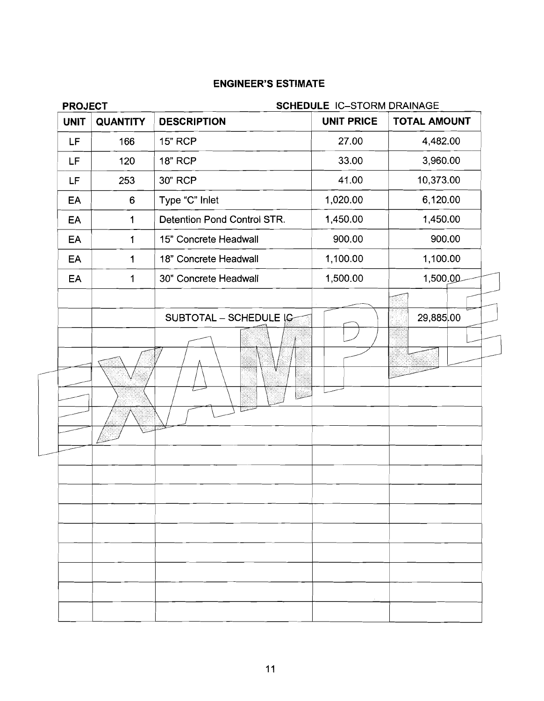| <b>QUANTITY</b><br><b>UNIT</b><br>LF<br>166<br>LF<br>120<br>253<br>LF<br>EA<br>6<br>EA<br>1<br>EA<br>$\mathbf{1}$<br>EA<br>$\mathbf 1$<br>EA<br>1 | <b>DESCRIPTION</b><br><b>15" RCP</b><br><b>18" RCP</b><br>30" RCP<br>Type "C" Inlet<br>Detention Pond Control STR.<br>15" Concrete Headwall<br>18" Concrete Headwall | <b>UNIT PRICE</b><br>27.00<br>33.00<br>41.00<br>1,020.00<br>1,450.00<br>900.00 | <b>TOTAL AMOUNT</b><br>4,482.00<br>3,960.00<br>10,373.00<br>6,120.00<br>1,450.00<br>900.00 |
|---------------------------------------------------------------------------------------------------------------------------------------------------|----------------------------------------------------------------------------------------------------------------------------------------------------------------------|--------------------------------------------------------------------------------|--------------------------------------------------------------------------------------------|
|                                                                                                                                                   |                                                                                                                                                                      |                                                                                |                                                                                            |
|                                                                                                                                                   |                                                                                                                                                                      |                                                                                |                                                                                            |
|                                                                                                                                                   |                                                                                                                                                                      |                                                                                |                                                                                            |
|                                                                                                                                                   |                                                                                                                                                                      |                                                                                |                                                                                            |
|                                                                                                                                                   |                                                                                                                                                                      |                                                                                |                                                                                            |
|                                                                                                                                                   |                                                                                                                                                                      |                                                                                |                                                                                            |
|                                                                                                                                                   |                                                                                                                                                                      |                                                                                |                                                                                            |
|                                                                                                                                                   |                                                                                                                                                                      | 1,100.00                                                                       | 1,100.00                                                                                   |
|                                                                                                                                                   | 30" Concrete Headwall                                                                                                                                                | 1,500.00                                                                       | 1,500.00                                                                                   |
|                                                                                                                                                   |                                                                                                                                                                      |                                                                                |                                                                                            |
|                                                                                                                                                   | SUBTOTAL - SCHEDULE IC                                                                                                                                               |                                                                                | 29,885.00                                                                                  |
|                                                                                                                                                   | esia.<br>Manazarta                                                                                                                                                   |                                                                                |                                                                                            |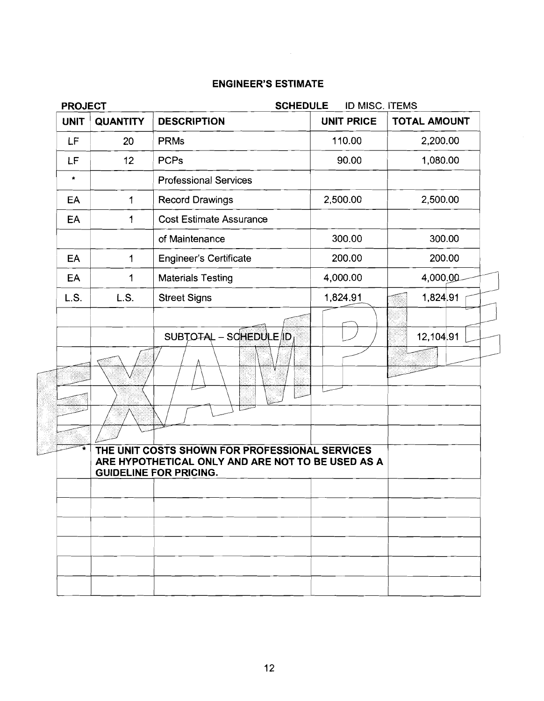# **PROJECT SCHEDULE** ID MISC. ITEMS <sup>1</sup>**UNIT** ) **QUANTITY** I **DESCRIPTION** 1 **UNIT PRICE** I **TOTAL AMOUNT** <sup>1</sup> LF 20 PRMs 1 10.00 2,200.00 LE 12 PCPs<br>
• Professional Services<br>
EA 1 Record Drawings 2,500.00 2,500.00<br>
EA 1 Cost Estimate Assurance<br>
of Maintenance 300.00 300.00<br>
EA 1 Engineer's Certificate 200.00 200.00 **LF** 12 PCPs 90.00 1,080.00 Professional Services - - Record Drawings 1 | Cost Estimate Assurance EA | 1 | Engineer's Certificate  $L.S.$ L.S. **Street Signs** 1,824.91 1,824.91 SUBTOTAL - SOHEDULE ID 12.104.91 THE UNITED SUIDEL **ARE HYPOTHETICAL ONLY AND ARE NOT TO BE USED AS A**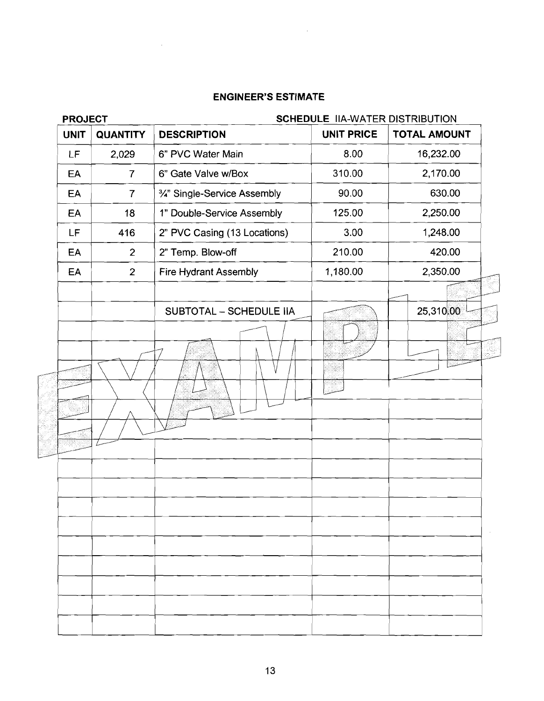| <b>PROJECT</b><br><b>UNIT</b><br><b>QUANTITY</b> |                              |                   | SCHEDULE IIA-WATER DISTRIBUTION |
|--------------------------------------------------|------------------------------|-------------------|---------------------------------|
|                                                  | <b>DESCRIPTION</b>           | <b>UNIT PRICE</b> | <b>TOTAL AMOUNT</b>             |
| LF<br>2,029                                      | 6" PVC Water Main            | 8.00              | 16,232.00                       |
| EA<br>$\overline{7}$                             | 6" Gate Valve w/Box          | 310.00            | 2,170.00                        |
| $\overline{7}$<br>EA                             | 3/4" Single-Service Assembly | 90.00             | 630.00                          |
| EA<br>18                                         | 1" Double-Service Assembly   | 125.00            | 2,250.00                        |
| LF<br>416                                        | 2" PVC Casing (13 Locations) | 3.00              | 1,248.00                        |
| $\overline{2}$<br>EA                             | 2" Temp. Blow-off            | 210.00            | 420.00                          |
| EA<br>$\overline{2}$                             | <b>Fire Hydrant Assembly</b> | 1,180.00          | 2,350.00                        |
|                                                  | SUBTOTAL - SCHEDULE IIA      |                   | 25,310.00                       |